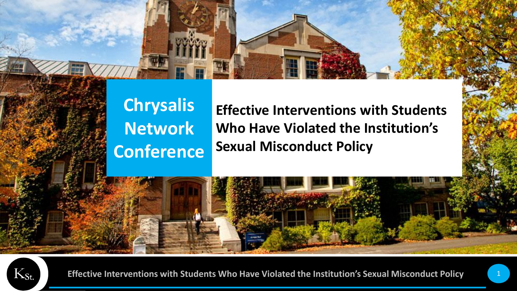

#### **Chrysalis Network Conference**

**Effective Interventions with Students Who Have Violated the Institution's Sexual Misconduct Policy**

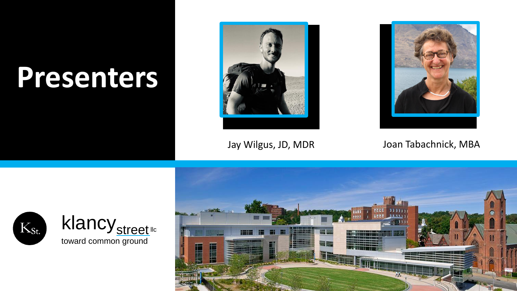## **Presenters**





Jay Wilgus, JD, MDR Joan Tabachnick, MBA



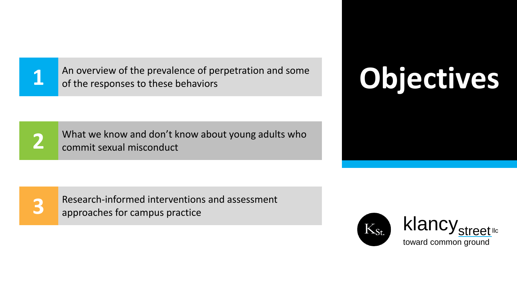**1** An overview of the prevalence of perpetration and some<br> **1** of the responses to these behaviors An overview of the prevalence of perpetration and some of the responses to these behaviors

What we know and don't know about young adults who commit sexual misconduct

Research-informed interventions and assessment approaches for campus practice





**3**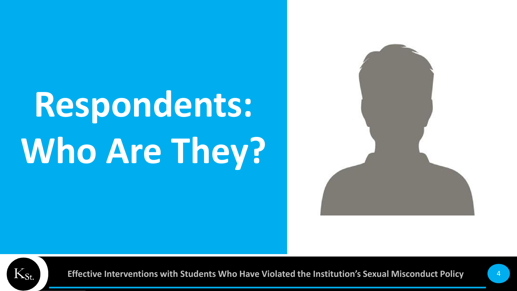## **Respondents: Who Are They?**



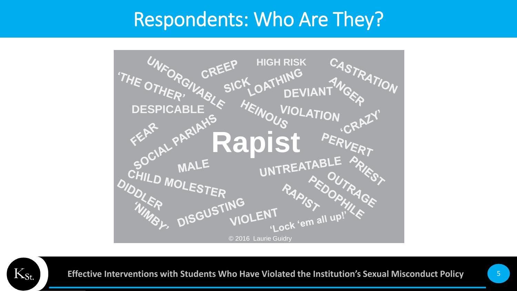#### Respondents: Who Are They?



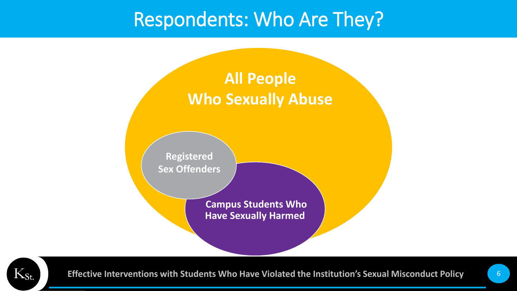#### Respondents: Who Are They?



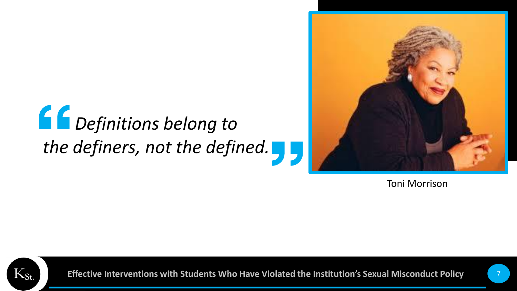## *Definitions belong to the definers, not the defined.*



Toni Morrison

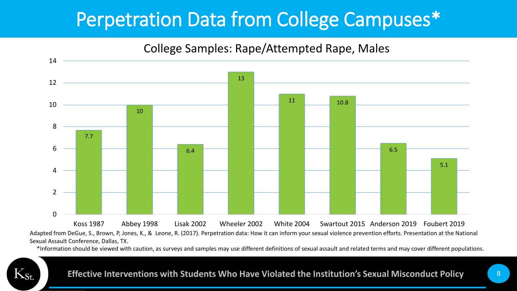### Perpetration Data from College Campuses\*

#### College Samples: Rape/Attempted Rape, Males



Adapted from DeGue, S., Brown, P, Jones, K., & Leone, R. (2017). Perpetration data: How it can inform your sexual violence prevention efforts. Presentation at the National Sexual Assault Conference, Dallas, TX.

\*Information should be viewed with caution, as surveys and samples may use different definitions of sexual assault and related terms and may cover different populations.

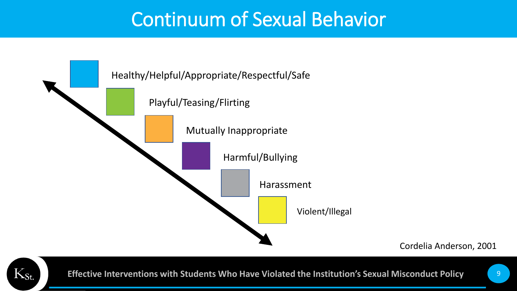#### Continuum of Sexual Behavior



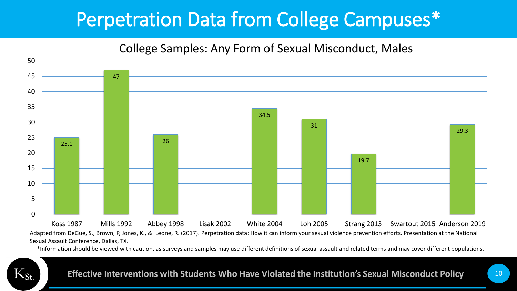### Perpetration Data from College Campuses\*

#### College Samples: Any Form of Sexual Misconduct, Males



Adapted from DeGue, S., Brown, P, Jones, K., & Leone, R. (2017). Perpetration data: How it can inform your sexual violence prevention efforts. Presentation at the National Sexual Assault Conference, Dallas, TX.

\*Information should be viewed with caution, as surveys and samples may use different definitions of sexual assault and related terms and may cover different populations.

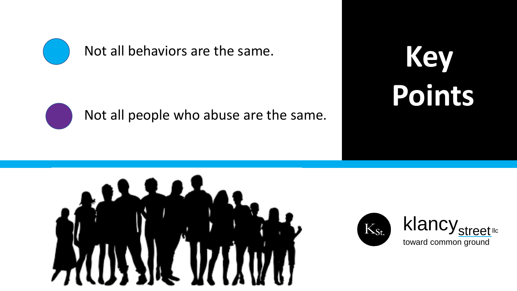

Not all behaviors are the same.

Not all people who abuse are the same.

**Key Points**



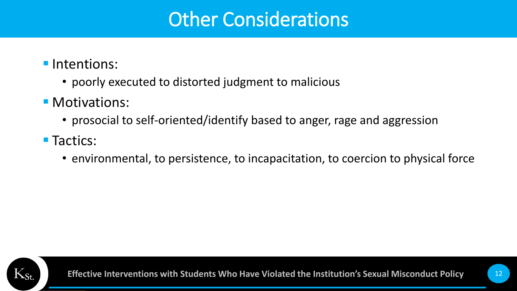#### Other Considerations

- **·** Intentions:
	- poorly executed to distorted judgment to malicious
- **Motivations:** 
	- prosocial to self-oriented/identify based to anger, rage and aggression
- Tactics:
	- environmental, to persistence, to incapacitation, to coercion to physical force

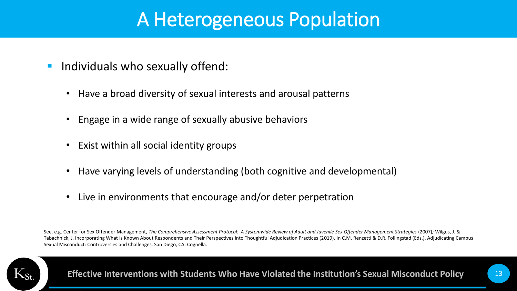#### A Heterogeneous Population

- Individuals who sexually offend:
	- Have a broad diversity of sexual interests and arousal patterns
	- Engage in a wide range of sexually abusive behaviors
	- Exist within all social identity groups
	- Have varying levels of understanding (both cognitive and developmental)
	- Live in environments that encourage and/or deter perpetration

See, e.g. Center for Sex Offender Management, *The Comprehensive Assessment Protocol: A Systemwide Review of Adult and Juvenile Sex Offender Management Strategies* (2007)*;* Wilgus, J. & Tabachnick, J. Incorporating What Is Known About Respondents and Their Perspectives into Thoughtful Adjudication Practices (2019). In C.M. Renzetti & D.R. Follingstad (Eds.), Adjudicating Campus Sexual Misconduct: Controversies and Challenges. San Diego, CA: Cognella.

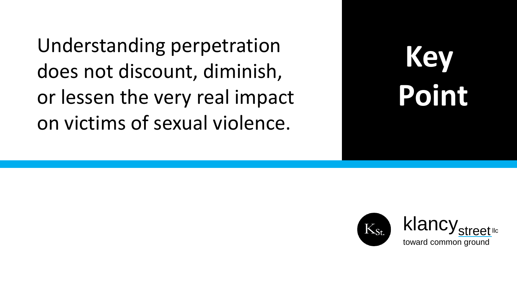Understanding perpetration does not discount, diminish, or lessen the very real impact on victims of sexual violence.



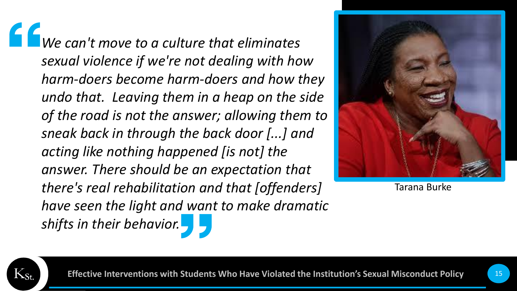*We can't move to a culture that eliminates sexual violence if we're not dealing with how harm-doers become harm-doers and how they undo that. Leaving them in a heap on the side of the road is not the answer; allowing them to sneak back in through the back door [...] and acting like nothing happened [is not] the answer. There should be an expectation that there's real rehabilitation and that [offenders] have seen the light and want to make dramatic shifts in their behavior.*



Tarana Burke

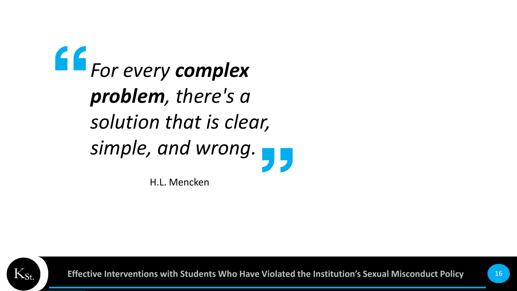*For every complex problem, there's a solution that is clear, simple, and wrong.*

H.L. Mencken

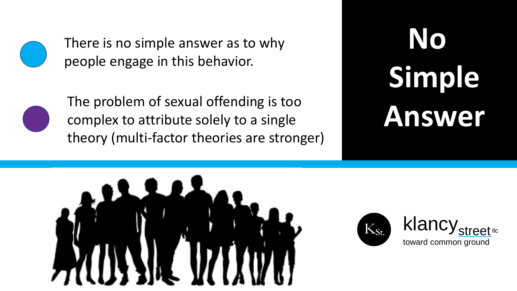

There is no simple answer as to why people engage in this behavior.



The problem of sexual offending is too<br>complex to attribute solely to a single<br>and the problem is the contract of the contract of the contract of the contract of the contract of the contract o complex to attribute solely to a single theory (multi-factor theories are stronger)

# **No Simple**



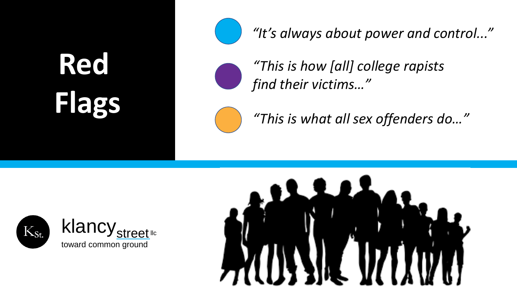## **Red Flags**



*"It's always about power and control..."*

*"This is how [all] college rapists find their victims…"* 

*"This is what all sex offenders do…"*



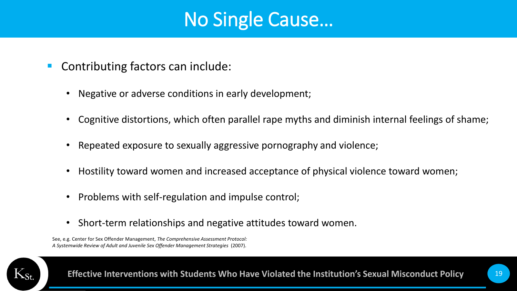#### No Single Cause…

- Contributing factors can include:
	- Negative or adverse conditions in early development;
	- Cognitive distortions, which often parallel rape myths and diminish internal feelings of shame;
	- Repeated exposure to sexually aggressive pornography and violence;
	- Hostility toward women and increased acceptance of physical violence toward women;
	- Problems with self-regulation and impulse control;
	- Short-term relationships and negative attitudes toward women.

See, e.g. Center for Sex Offender Management, *The Comprehensive Assessment Protocol: A Systemwide Review of Adult and Juvenile Sex Offender Management Strategies* (2007).

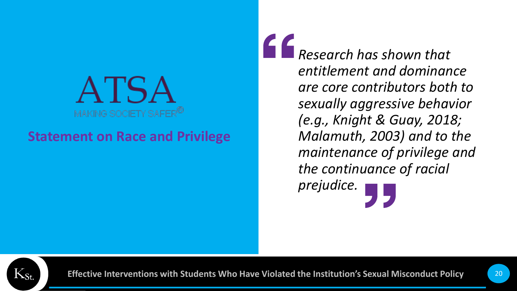

#### **Statement on Race and Privilege**

*Research has shown that entitlement and dominance are core contributors both to sexually aggressive behavior (e.g., Knight & Guay, 2018; Malamuth, 2003) and to the maintenance of privilege and the continuance of racial prejudice.*

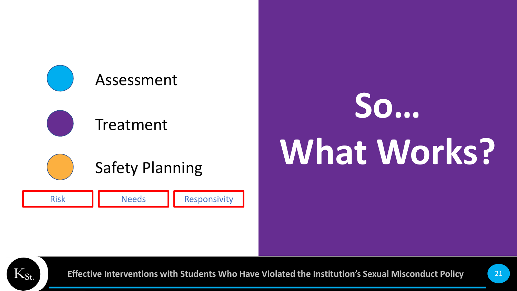

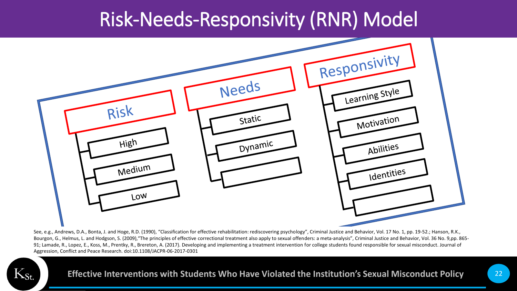#### Risk-Needs-Responsivity (RNR) Model



See, e.g., Andrews, D.A., Bonta, J. and Hoge, R.D. (1990), "Classification for effective rehabilitation: rediscovering psychology", Criminal Justice and Behavior, Vol. 17 No. 1, pp. 19-52.; Hanson, R.K., Bourgon, G., Helmus, L. and Hodgson, S. (2009), "The principles of effective correctional treatment also apply to sexual offenders: a meta-analysis", Criminal Justice and Behavior, Vol. 36 No. 9,pp. 865-91; Lamade, R., Lopez, E., Koss, M., Prentky, R., Brereton, A. (2017). Developing and implementing a treatment intervention for college students found responsible for sexual misconduct. Journal of Aggression, Conflict and Peace Research. doi:10.1108/JACPR-06-2017-0301

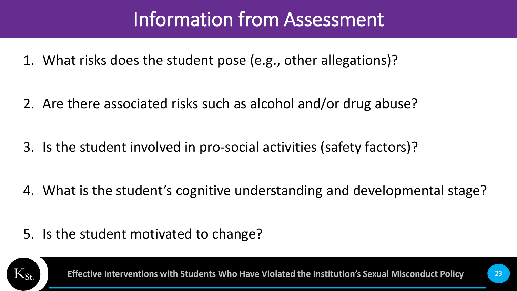### Information from Assessment

- 1. What risks does the student pose (e.g., other allegations)?
- 2. Are there associated risks such as alcohol and/or drug abuse?
- 3. Is the student involved in pro-social activities (safety factors)?
- 4. What is the student's cognitive understanding and developmental stage?
- 5. Is the student motivated to change?

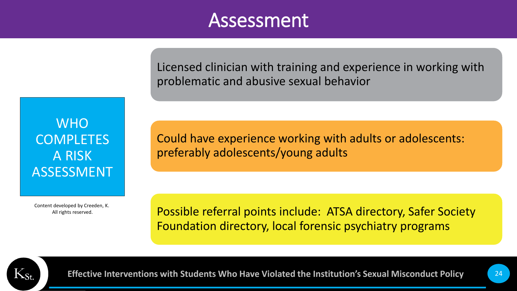#### Assessment

Licensed clinician with training and experience in working with problematic and abusive sexual behavior

WHO **COMPLETES** A RISK ASSESSMENT

Content developed by Creeden, K. All rights reserved.

Could have experience working with adults or adolescents: preferably adolescents/young adults

Possible referral points include: ATSA directory, Safer Society Foundation directory, local forensic psychiatry programs

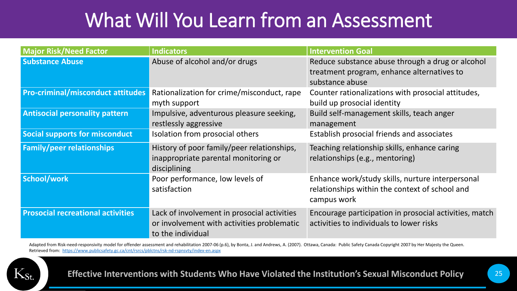### What Will You Learn from an Assessment

| <b>Major Risk/Need Factor</b>            | <b>Indicators</b>                                                                                              | <b>Intervention Goal</b>                                                                                          |  |  |
|------------------------------------------|----------------------------------------------------------------------------------------------------------------|-------------------------------------------------------------------------------------------------------------------|--|--|
| <b>Substance Abuse</b>                   | Abuse of alcohol and/or drugs                                                                                  | Reduce substance abuse through a drug or alcohol<br>treatment program, enhance alternatives to<br>substance abuse |  |  |
| <b>Pro-criminal/misconduct attitudes</b> | Rationalization for crime/misconduct, rape<br>myth support                                                     | Counter rationalizations with prosocial attitudes,<br>build up prosocial identity                                 |  |  |
| <b>Antisocial personality pattern</b>    | Impulsive, adventurous pleasure seeking,<br>restlessly aggressive                                              | Build self-management skills, teach anger<br>management                                                           |  |  |
| <b>Social supports for misconduct</b>    | Isolation from prosocial others                                                                                | Establish prosocial friends and associates                                                                        |  |  |
| <b>Family/peer relationships</b>         | History of poor family/peer relationships,<br>inappropriate parental monitoring or<br>disciplining             | Teaching relationship skills, enhance caring<br>relationships (e.g., mentoring)                                   |  |  |
| School/work                              | Poor performance, low levels of<br>satisfaction                                                                | Enhance work/study skills, nurture interpersonal<br>relationships within the context of school and<br>campus work |  |  |
| <b>Prosocial recreational activities</b> | Lack of involvement in prosocial activities<br>or involvement with activities problematic<br>to the individual | Encourage participation in prosocial activities, match<br>activities to individuals to lower risks                |  |  |

Adapted from Risk-need-responsivity model for offender assessment and rehabilitation 2007-06 (p.6), by Bonta, J. and Andrews, A. (2007). Ottawa, Canada: Public Safety Canada Copyright 2007 by Her Majesty the Queen. Retrieved from: <https://www.publicsafety.gc.ca/cnt/rsrcs/pblctns/rsk-nd-rspnsvty/index-en.aspx>

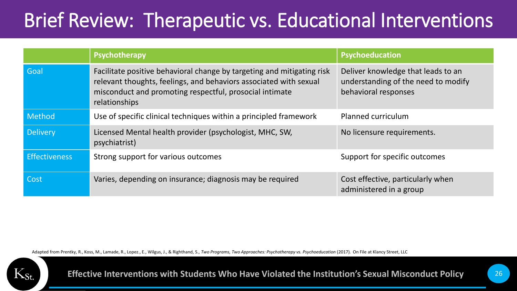## Brief Review: Therapeutic vs. Educational Interventions

|                      | Psychotherapy                                                                                                                                                                                                           | Psychoeducation                                                                                   |
|----------------------|-------------------------------------------------------------------------------------------------------------------------------------------------------------------------------------------------------------------------|---------------------------------------------------------------------------------------------------|
| Goal                 | Facilitate positive behavioral change by targeting and mitigating risk<br>relevant thoughts, feelings, and behaviors associated with sexual<br>misconduct and promoting respectful, prosocial intimate<br>relationships | Deliver knowledge that leads to an<br>understanding of the need to modify<br>behavioral responses |
| Method               | Use of specific clinical techniques within a principled framework                                                                                                                                                       | Planned curriculum                                                                                |
| <b>Delivery</b>      | Licensed Mental health provider (psychologist, MHC, SW,<br>psychiatrist)                                                                                                                                                | No licensure requirements.                                                                        |
| <b>Effectiveness</b> | Strong support for various outcomes                                                                                                                                                                                     | Support for specific outcomes                                                                     |
| Cost                 | Varies, depending on insurance; diagnosis may be required                                                                                                                                                               | Cost effective, particularly when<br>administered in a group                                      |

Adapted from Prentky, R., Koss, M., Lamade, R., Lopez., E., Wilgus, J., & Righthand, S., *Two Programs, Two Approaches: Psychotherapy vs. Psychoeducation* (2017)*.* On File at Klancy Street, LLC

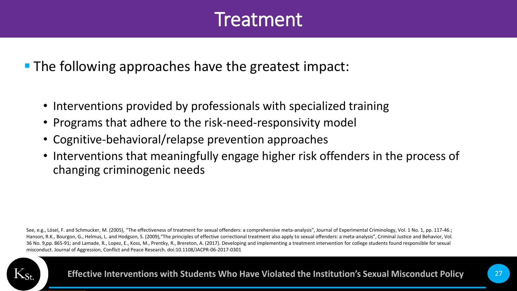#### Treatment

■ The following approaches have the greatest impact:

- Interventions provided by professionals with specialized training
- Programs that adhere to the risk-need-responsivity model
- Cognitive-behavioral/relapse prevention approaches
- Interventions that meaningfully engage higher risk offenders in the process of changing criminogenic needs

See, e.g., Lösel, F. and Schmucker, M. (2005), "The effectiveness of treatment for sexual offenders: a comprehensive meta-analysis", Journal of Experimental Criminology, Vol. 1 No. 1, pp. 117-46.; Hanson, R.K., Bourgon, G., Helmus, L. and Hodgson, S. (2009),"The principles of effective correctional treatment also apply to sexual offenders: a meta-analysis", Criminal Justice and Behavior, Vol. 36 No. 9,pp. 865-91; and Lamade, R., Lopez, E., Koss, M., Prentky, R., Brereton, A. (2017). Developing and implementing a treatment intervention for college students found responsible for sexual misconduct. Journal of Aggression, Conflict and Peace Research. doi:10.1108/JACPR-06-2017-0301

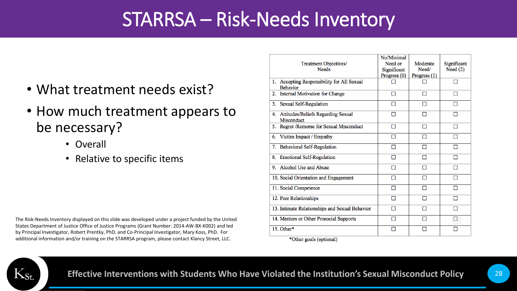#### STARRSA – Risk-Needs Inventory

- What treatment needs exist?
- How much treatment appears to be necessary?
	- Overall
	- Relative to specific items

The Risk-Needs Inventory displayed on this slide was developed under a project funded by the United States Department of Justice Office of Justice Programs (Grant Number: 2014-AW-BX-K002) and led by Principal Investigator, Robert Prentky, PhD. and Co-Principal Investigator, Mary Koss, PhD. For additional information and/or training on the STARRSA program, please contact Klancy Street, LLC.

| Treatment Objectives/<br><b>Needs</b>                         | No/Minimal<br>Need or<br>Significant<br>Progress (0) | Moderate<br>Need/<br>Progress $(1)$ | Significant<br>Need $(2)$ |
|---------------------------------------------------------------|------------------------------------------------------|-------------------------------------|---------------------------|
| 1. Accepting Responsibility for All Sexual<br><b>Behavior</b> |                                                      |                                     |                           |
| Internal Motivation for Change<br>2.                          |                                                      |                                     |                           |
| Sexual Self-Regulation<br>3.                                  |                                                      |                                     |                           |
| 4. Attitudes/Beliefs Regarding Sexual<br>Misconduct           |                                                      |                                     |                           |
| 5. Regret / Remorse for Sexual Misconduct                     |                                                      |                                     |                           |
| Victim Impact / Empathy<br>6.                                 |                                                      |                                     |                           |
| <b>Behavioral Self-Regulation</b><br>7.                       |                                                      |                                     |                           |
| <b>Emotional Self-Regulation</b><br>8.                        |                                                      |                                     |                           |
| 9. Alcohol Use and Abuse                                      |                                                      |                                     |                           |
| 10. Social Orientation and Engagement                         |                                                      |                                     |                           |
| 11. Social Competence                                         |                                                      |                                     |                           |
| 12. Peer Relationships                                        |                                                      |                                     |                           |
| 13. Intimate Relationships and Sexual Behavior                |                                                      |                                     |                           |
| 14. Mentors or Other Prosocial Supports                       |                                                      |                                     | H                         |
| 15. Other*                                                    |                                                      |                                     |                           |
| *Other goals (optional)                                       |                                                      |                                     |                           |

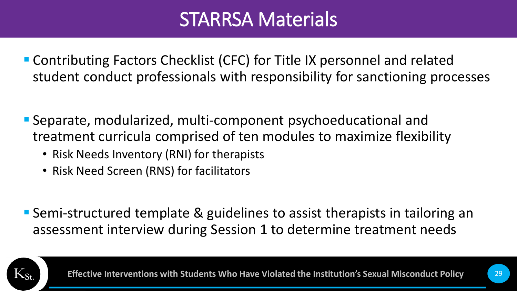#### STARRSA Materials

- Contributing Factors Checklist (CFC) for Title IX personnel and related student conduct professionals with responsibility for sanctioning processes
- Separate, modularized, multi-component psychoeducational and treatment curricula comprised of ten modules to maximize flexibility
	- Risk Needs Inventory (RNI) for therapists
	- Risk Need Screen (RNS) for facilitators
- Semi-structured template & guidelines to assist therapists in tailoring an assessment interview during Session 1 to determine treatment needs

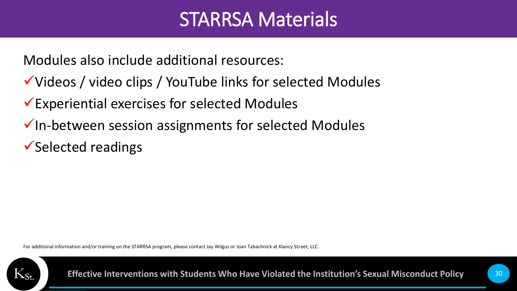#### STARRSA Materials

Modules also include additional resources:

- ✓Videos / video clips / YouTube links for selected Modules
- ✓Experiential exercises for selected Modules
- ✓In-between session assignments for selected Modules
- ✓Selected readings

For additional information and/or training on the STARRSA program, please contact Jay Wilgus or Joan Tabachnick at Klancy Street, LLC.

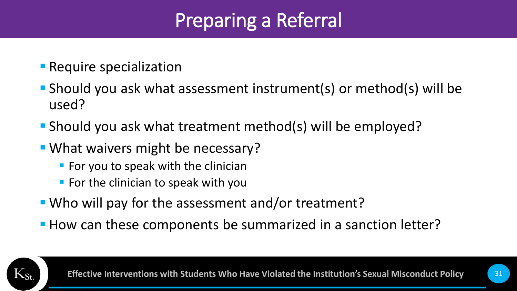## Preparing a Referral

- **E** Require specialization
- Should you ask what assessment instrument(s) or method(s) will be used?
- Should you ask what treatment method(s) will be employed?
- What waivers might be necessary?
	- $\blacksquare$  For you to speak with the clinician
	- $\blacksquare$  For the clinician to speak with you
- Who will pay for the assessment and/or treatment?
- How can these components be summarized in a sanction letter?

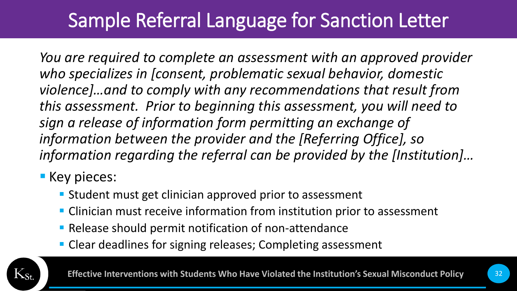## Sample Referral Language for Sanction Letter

*You are required to complete an assessment with an approved provider who specializes in [consent, problematic sexual behavior, domestic violence]…and to comply with any recommendations that result from this assessment. Prior to beginning this assessment, you will need to sign a release of information form permitting an exchange of information between the provider and the [Referring Office], so information regarding the referral can be provided by the [Institution]…*

#### **E** Key pieces:

- **E** Student must get clinician approved prior to assessment
- **EXTE:** Clinician must receive information from institution prior to assessment
- **Release should permit notification of non-attendance**
- **Clear deadlines for signing releases; Completing assessment**

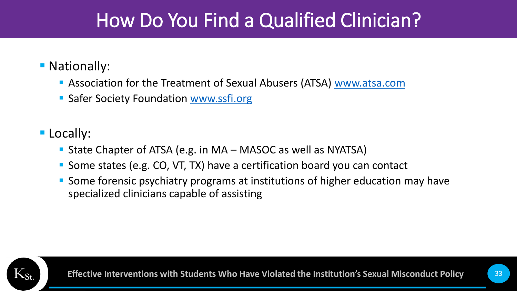#### How Do You Find a Qualified Clinician?

#### ■ Nationally:

- **E** Association for the Treatment of Sexual Abusers (ATSA) [www.atsa.com](http://www.atsa.com/)
- Safer Society Foundation [www.ssfi.org](http://www.ssfi.org/)

#### **E** Locally:

- State Chapter of ATSA (e.g. in MA MASOC as well as NYATSA)
- Some states (e.g. CO, VT, TX) have a certification board you can contact
- Some forensic psychiatry programs at institutions of higher education may have specialized clinicians capable of assisting

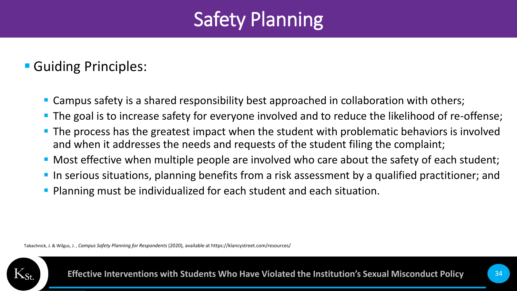## Safety Planning

#### ■ Guiding Principles:

- Campus safety is a shared responsibility best approached in collaboration with others;
- The goal is to increase safety for everyone involved and to reduce the likelihood of re-offense;
- **The process has the greatest impact when the student with problematic behaviors is involved** and when it addresses the needs and requests of the student filing the complaint;
- Most effective when multiple people are involved who care about the safety of each student;
- **In serious situations, planning benefits from a risk assessment by a qualified practitioner; and**
- Planning must be individualized for each student and each situation.

Tabachnick, J. & Wilgus, J. , *Campus Safety Planning for Respondents* (2020), available at https://klancystreet.com/resources/

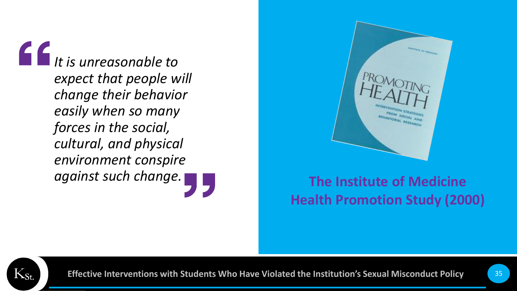*It is unreasonable to expect that people will change their behavior easily when so many forces in the social, cultural, and physical environment conspire against such change.*



#### **The Institute of Medicine Health Promotion Study (2000)**

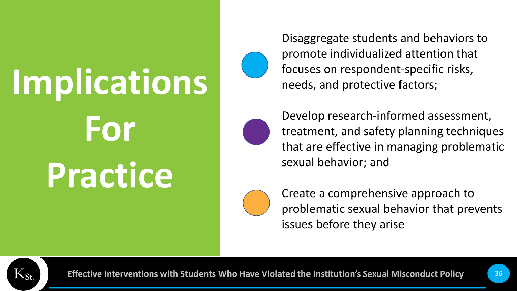## **Implications For Practice**



Disaggregate students and behaviors to promote individualized attention that focuses on respondent-specific risks, needs, and protective factors;



Develop research-informed assessment, treatment, and safety planning techniques that are effective in managing problematic sexual behavior; and



Create a comprehensive approach to problematic sexual behavior that prevents issues before they arise

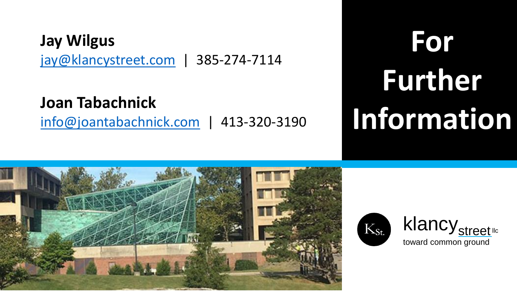#### **Jay Wilgus** [jay@klancystreet.com](mailto:jay@klancystreet.com) | 385-274-7114

**Joan Tabachnick** [info@joantabachnick.com](mailto:info@joantabachnick.com) | 413-320-3190

## **For Further Information**